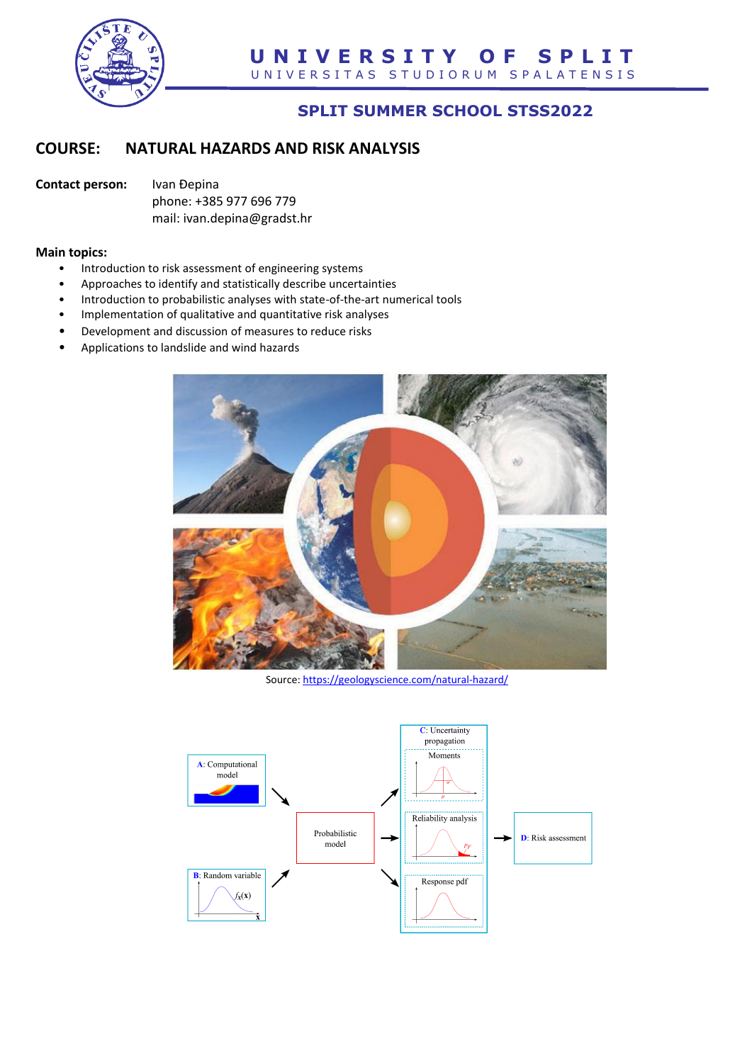

# **U N I V E R S I T Y O F S P L I T** U N I V E R S I T A S S T U D I O R U M S P A L A T E N S I S

## **SPLIT SUMMER SCHOOL STSS2022**

### **COURSE: NATURAL HAZARDS AND RISK ANALYSIS**

**Contact person:** Ivan Đepina phone: +385 977 696 779 mail: ivan.depina@gradst.hr

#### **Main topics:**

- Introduction to risk assessment of engineering systems
- Approaches to identify and statistically describe uncertainties
- Introduction to probabilistic analyses with state-of-the-art numerical tools
- Implementation of qualitative and quantitative risk analyses
- Development and discussion of measures to reduce risks
- Applications to landslide and wind hazards



Source:<https://geologyscience.com/natural-hazard/>